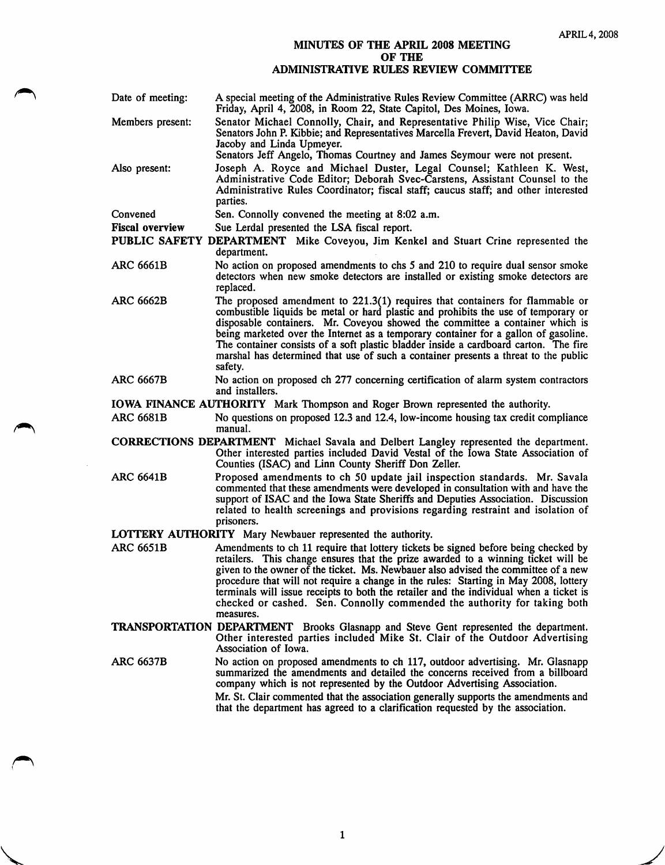## MINUTES OF THE APRIL 2008 MEETING OF THE ADMINISTRATIVE RULES REVIEW COMMITTEE

| Date of meeting: | A special meeting of the Administrative Rules Review Committee (ARRC) was held<br>Friday, April 4, 2008, in Room 22, State Capitol, Des Moines, Iowa.                                                                                                                        |
|------------------|------------------------------------------------------------------------------------------------------------------------------------------------------------------------------------------------------------------------------------------------------------------------------|
| Members present: | Senator Michael Connolly, Chair, and Representative Philip Wise, Vice Chair;<br>Senators John P. Kibbie; and Representatives Marcella Frevert, David Heaton, David<br>Jacoby and Linda Upmeyer.<br>Senators Jeff Angelo, Thomas Courtney and James Seymour were not present. |
| Also present:    | Joseph A. Royce and Michael Duster, Legal Counsel; Kathleen K. West,<br>Administrative Code Editor; Deborah Svec-Carstens, Assistant Counsel to the<br>Administrative Rules Coordinator; fiscal staff; caucus staff; and other interested<br>parties.                        |
| Conward          | San Connolly convened the meeting of 8:02 a.m.                                                                                                                                                                                                                               |

Convened Sen. Connolly convened the meeting at 8:02 a.m.

Fiscal overview Sue Lerdal presented the LSA fiscal report.

PUBLIC SAFETY DEPARTMENT Mike Coveyou, Jim Kenkel and Stuart Crine represented the department.

- ARC 6661B No action on proposed amendments to chs 5 and 210 to require dual sensor smoke detectors when new smoke detectors are installed or existing smoke detectors are replaced.
- ARC 6662B The proposed amendment to 221.3(1) requires that containers for flammable or combustible liquids be metal or hard plastic and prohibits the use of temporary or disposable containers. Mr. Coveyou showed the committee a container which is being marketed over the Internet as a temporary container for a gallon of gasoline. The container consists of a soft plastic bladder inside a cardboard carton. The fire marshal has determined that use of such a container presents a threat to the public safety.
- No action on proposed ch 277 concerning certification of alarm system contractors and installers. ARC 6667B

IOWA FINANCE AUTHORITY Mark Thompson and Roger Brown represented the authority.

ARC 6681B No questions on proposed 12.3 and 12.4, low-income housing tax credit compliance manual.

CORRECTIONS DEPARTMENT Michael Savala and Delbert Langley represented the department. Other interested parties included David Vestal of the Iowa State Association of Counties (ISAC) and Linn County Sheriff Don Zeller.

- ARC 6641B Proposed amendments to ch 50 update jail inspection standards. Mr. Savala commented that these amendments were developed in consultation with and have the support of ISAC and the Iowa State Sheriffs and Deputies Association. Discussion related to health screenings and provisions regarding restraint and isolation of prisoners.
- LOTTERY AUTHORITY Mary Newbauer represented the authority.

V

- ARC 6651B Amendments to ch 11 require that lottery tickets be signed before being checked by retailers. This change ensures that the prize awarded to a winning ticket will be given to the owner of the ticket. Ms. Newbauer also advised the committee of a new procedure that will not require a change in the rules: Starting in May 2008, lottery terminals will issue receipts to both the retailer and the individual when a ticket is checked or cashed. Sen. Connolly commended the authority for taking both measures.
- TRANSPORTATION DEPARTMENT Brooks Glasnapp and Steve Gent represented the department. Other interested parties included Mike St. Clair of the Outdoor Advertising Association of Iowa.
- ARC 6637B No action on proposed amendments to ch 117, outdoor advertising. Mr. Glasnapp summarized the amendments and detailed the concerns received from a billboard company which is not represented by the Outdoor Advertising Association. Mr. St. Clair commented that the association generally supports the amendments and that the department has agreed to a clarification requested by the association.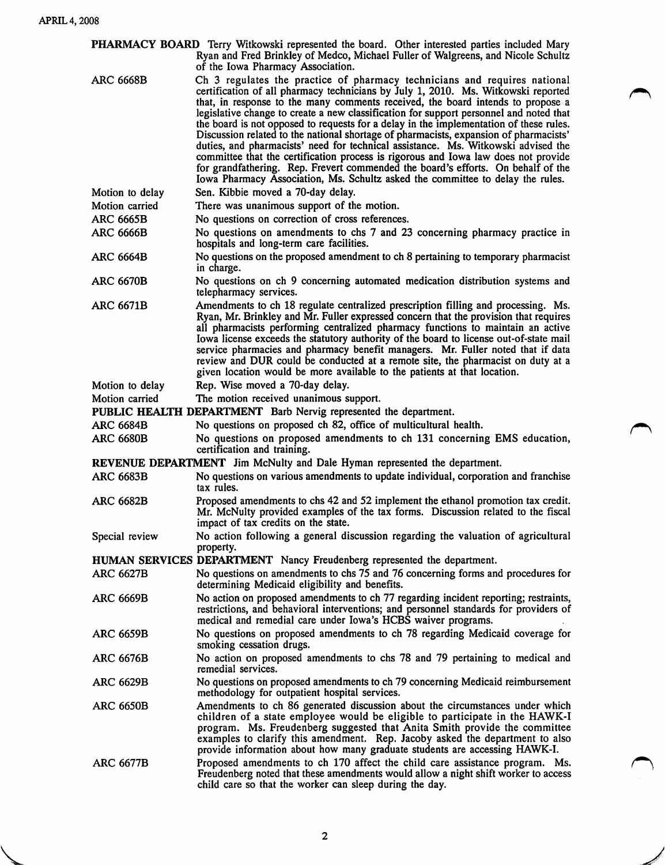| PHARMACY BOARD Terry Witkowski represented the board. Other interested parties included Mary<br>Ryan and Fred Brinkley of Medco, Michael Fuller of Walgreens, and Nicole Schultz<br>of the Iowa Pharmacy Association. |                                                                                                                                                                                                                                                                                                                                                                                                                                                                                                                                                                                                                                                                                                                                                                                                                                                                                 |  |
|-----------------------------------------------------------------------------------------------------------------------------------------------------------------------------------------------------------------------|---------------------------------------------------------------------------------------------------------------------------------------------------------------------------------------------------------------------------------------------------------------------------------------------------------------------------------------------------------------------------------------------------------------------------------------------------------------------------------------------------------------------------------------------------------------------------------------------------------------------------------------------------------------------------------------------------------------------------------------------------------------------------------------------------------------------------------------------------------------------------------|--|
| <b>ARC 6668B</b>                                                                                                                                                                                                      | Ch 3 regulates the practice of pharmacy technicians and requires national<br>certification of all pharmacy technicians by July 1, 2010. Ms. Witkowski reported<br>that, in response to the many comments received, the board intends to propose a<br>legislative change to create a new classification for support personnel and noted that<br>the board is not opposed to requests for a delay in the implementation of these rules.<br>Discussion related to the national shortage of pharmacists, expansion of pharmacists'<br>duties, and pharmacists' need for technical assistance. Ms. Witkowski advised the<br>committee that the certification process is rigorous and Iowa law does not provide<br>for grandfathering. Rep. Frevert commended the board's efforts. On behalf of the<br>Iowa Pharmacy Association, Ms. Schultz asked the committee to delay the rules. |  |
| Motion to delay                                                                                                                                                                                                       | Sen. Kibbie moved a 70-day delay.                                                                                                                                                                                                                                                                                                                                                                                                                                                                                                                                                                                                                                                                                                                                                                                                                                               |  |
| Motion carried                                                                                                                                                                                                        | There was unanimous support of the motion.                                                                                                                                                                                                                                                                                                                                                                                                                                                                                                                                                                                                                                                                                                                                                                                                                                      |  |
| <b>ARC 6665B</b>                                                                                                                                                                                                      | No questions on correction of cross references.                                                                                                                                                                                                                                                                                                                                                                                                                                                                                                                                                                                                                                                                                                                                                                                                                                 |  |
| <b>ARC 6666B</b>                                                                                                                                                                                                      | No questions on amendments to chs 7 and 23 concerning pharmacy practice in                                                                                                                                                                                                                                                                                                                                                                                                                                                                                                                                                                                                                                                                                                                                                                                                      |  |
| <b>ARC 6664B</b>                                                                                                                                                                                                      | hospitals and long-term care facilities.<br>No questions on the proposed amendment to ch 8 pertaining to temporary pharmacist                                                                                                                                                                                                                                                                                                                                                                                                                                                                                                                                                                                                                                                                                                                                                   |  |
|                                                                                                                                                                                                                       | in charge.                                                                                                                                                                                                                                                                                                                                                                                                                                                                                                                                                                                                                                                                                                                                                                                                                                                                      |  |
| <b>ARC 6670B</b>                                                                                                                                                                                                      | No questions on ch 9 concerning automated medication distribution systems and<br>telepharmacy services.                                                                                                                                                                                                                                                                                                                                                                                                                                                                                                                                                                                                                                                                                                                                                                         |  |
| <b>ARC 6671B</b>                                                                                                                                                                                                      | Amendments to ch 18 regulate centralized prescription filling and processing. Ms.<br>Ryan, Mr. Brinkley and Mr. Fuller expressed concern that the provision that requires<br>all pharmacists performing centralized pharmacy functions to maintain an active<br>Iowa license exceeds the statutory authority of the board to license out-of-state mail<br>service pharmacies and pharmacy benefit managers. Mr. Fuller noted that if data<br>review and DUR could be conducted at a remote site, the pharmacist on duty at a<br>given location would be more available to the patients at that location.                                                                                                                                                                                                                                                                        |  |
| Motion to delay                                                                                                                                                                                                       | Rep. Wise moved a 70-day delay.                                                                                                                                                                                                                                                                                                                                                                                                                                                                                                                                                                                                                                                                                                                                                                                                                                                 |  |
| Motion carried                                                                                                                                                                                                        | The motion received unanimous support.                                                                                                                                                                                                                                                                                                                                                                                                                                                                                                                                                                                                                                                                                                                                                                                                                                          |  |
|                                                                                                                                                                                                                       | PUBLIC HEALTH DEPARTMENT Barb Nervig represented the department.                                                                                                                                                                                                                                                                                                                                                                                                                                                                                                                                                                                                                                                                                                                                                                                                                |  |
| <b>ARC 6684B</b>                                                                                                                                                                                                      | No questions on proposed ch 82, office of multicultural health.                                                                                                                                                                                                                                                                                                                                                                                                                                                                                                                                                                                                                                                                                                                                                                                                                 |  |
| <b>ARC 6680B</b>                                                                                                                                                                                                      | No questions on proposed amendments to ch 131 concerning EMS education,<br>certification and training.                                                                                                                                                                                                                                                                                                                                                                                                                                                                                                                                                                                                                                                                                                                                                                          |  |
| <b>REVENUE DEPARTMENT</b> Jim McNulty and Dale Hyman represented the department.                                                                                                                                      |                                                                                                                                                                                                                                                                                                                                                                                                                                                                                                                                                                                                                                                                                                                                                                                                                                                                                 |  |
| <b>ARC 6683B</b>                                                                                                                                                                                                      | No questions on various amendments to update individual, corporation and franchise<br>tax rules.                                                                                                                                                                                                                                                                                                                                                                                                                                                                                                                                                                                                                                                                                                                                                                                |  |
| <b>ARC 6682B</b>                                                                                                                                                                                                      | Proposed amendments to chs 42 and 52 implement the ethanol promotion tax credit.<br>Mr. McNulty provided examples of the tax forms. Discussion related to the fiscal<br>impact of tax credits on the state.                                                                                                                                                                                                                                                                                                                                                                                                                                                                                                                                                                                                                                                                     |  |
| Special review                                                                                                                                                                                                        | No action following a general discussion regarding the valuation of agricultural<br>property.                                                                                                                                                                                                                                                                                                                                                                                                                                                                                                                                                                                                                                                                                                                                                                                   |  |
|                                                                                                                                                                                                                       | HUMAN SERVICES DEPARTMENT Nancy Freudenberg represented the department.                                                                                                                                                                                                                                                                                                                                                                                                                                                                                                                                                                                                                                                                                                                                                                                                         |  |
| <b>ARC 6627B</b>                                                                                                                                                                                                      | No questions on amendments to chs 75 and 76 concerning forms and procedures for<br>determining Medicaid eligibility and benefits.                                                                                                                                                                                                                                                                                                                                                                                                                                                                                                                                                                                                                                                                                                                                               |  |
| <b>ARC 6669B</b>                                                                                                                                                                                                      | No action on proposed amendments to ch 77 regarding incident reporting; restraints,<br>restrictions, and behavioral interventions; and personnel standards for providers of<br>medical and remedial care under Iowa's HCBS waiver programs.                                                                                                                                                                                                                                                                                                                                                                                                                                                                                                                                                                                                                                     |  |
| <b>ARC 6659B</b>                                                                                                                                                                                                      | No questions on proposed amendments to ch 78 regarding Medicaid coverage for<br>smoking cessation drugs.                                                                                                                                                                                                                                                                                                                                                                                                                                                                                                                                                                                                                                                                                                                                                                        |  |
| <b>ARC 6676B</b>                                                                                                                                                                                                      | No action on proposed amendments to chs 78 and 79 pertaining to medical and<br>remedial services.                                                                                                                                                                                                                                                                                                                                                                                                                                                                                                                                                                                                                                                                                                                                                                               |  |
| <b>ARC 6629B</b>                                                                                                                                                                                                      | No questions on proposed amendments to ch 79 concerning Medicaid reimbursement<br>methodology for outpatient hospital services.                                                                                                                                                                                                                                                                                                                                                                                                                                                                                                                                                                                                                                                                                                                                                 |  |
| <b>ARC 6650B</b>                                                                                                                                                                                                      | Amendments to ch 86 generated discussion about the circumstances under which<br>children of a state employee would be eligible to participate in the HAWK-I<br>program. Ms. Freudenberg suggested that Anita Smith provide the committee<br>examples to clarify this amendment. Rep. Jacoby asked the department to also<br>provide information about how many graduate students are accessing HAWK-I.                                                                                                                                                                                                                                                                                                                                                                                                                                                                          |  |
| <b>ARC 6677B</b>                                                                                                                                                                                                      | Proposed amendments to ch 170 affect the child care assistance program. Ms.<br>Freudenberg noted that these amendments would allow a night shift worker to access<br>child care so that the worker can sleep during the day.                                                                                                                                                                                                                                                                                                                                                                                                                                                                                                                                                                                                                                                    |  |